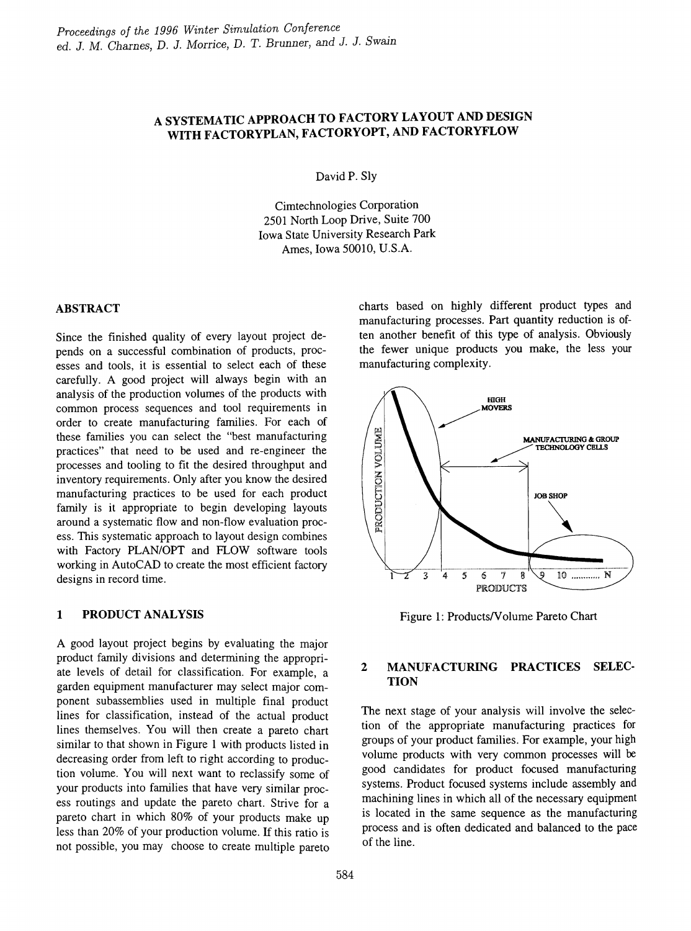# A SYSTEMATIC APPROACH TO FACTORY LAYOUT AND DESIGN WITH FACTORYPLAN, FACTORYOPT, AND FACTORYFLOW

David P. Sly

Cimtechnologies Corporation 2501 North Loop Drive, Suite 700 Iowa State University Research Park Ames, Iowa 50010, U.S.A.

## ABSTRACT

Since the finished quality of every layout project depends on a successful combination of products, processes and tools, it is essential to select each of these carefully. A good project will always begin with an analysis of the production volumes of the products with common process sequences and tool requirements in order to create manufacturing families. For each of these families you can select the "best manufacturing practices" that need to be used and re-engineer the processes and tooling to fit the desired throughput and inventory requirements. Only after you know the desired manufacturing practices to be used for each product family is it appropriate to begin developing layouts around a systematic flow and non-flow evaluation process. This systematic approach to layout design combines with Factory PLAN/OPT and FLOW software tools working in AutoCAD to create the most efficient factory designs in record time.

A good layout project begins by evaluating the major product family divisions and detennining the appropriate levels of detail for classification. For example, a garden equipment manufacturer may select major component subassemblies used in multiple final product lines for classification, instead of the actual product lines themselves. You will then create a pareto chart similar to that shown in Figure 1 with products listed in decreasing order from left to right according to production volume. You will next want to reclassify some of your products into families that have very similar process routings and update the pareto chart. Strive for a pareto chart in which 80% of your products make up less than 20% of your production volume. If this ratio is not possible, you may choose to create multiple pareto charts based on highly different product types and manufacturing processes. Part quantity reduction is often another benefit of this type of analysis. Obviously the fewer unique products you make, the less your manufacturing complexity.



1 PRODUCT ANALYSIS Figure 1: Products/Volume Pareto Chart

# 2 MANUFACTURING PRACTICES SELEC-TION

The next stage of your analysis will involve the selection of the appropriate manufacturing practices for groups of your product families. For example, your high volume products with very common processes will be good candidates for product focused manufacturing systems. Product focused systems include assembly and machining lines in which all of the necessary equipment is located in the same sequence as the manufacturing process and is often dedicated and balanced to the pace of the line.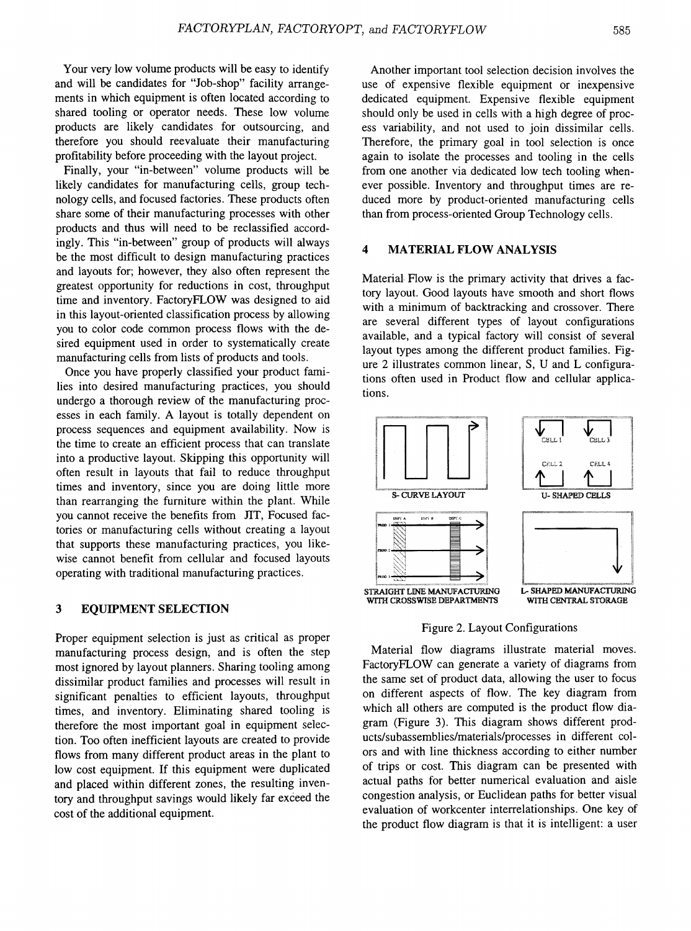Your very low volume products will be easy to identify and will be candidates for "Job-shop" facility arrangements in which equipment is often located according to shared tooling or operator needs. These low volume products are likely candidates for outsourcing, and therefore you should reevaluate their manufacturing profitability before proceeding with the layout project.

Finally, your "in-between" volume products will be likely candidates for manufacturing cells, group technology cells, and focused factories. These products often share some of their manufacturing processes with other products and thus will need to be reclassified accordingly. This "in-between" group of products will always be the most difficult to design manufacturing practices and layouts for; however, they also often represent the greatest opportunity for reductions in cost, throughput time and inventory. FactoryFLOW was designed to aid in this layout-oriented classification process by allowing you to color code common process flows with the desired equipment used in order to systematically create manufacturing cells from lists of products and tools.

Once you have properly classified your product families into desired manufacturing practices, you should undergo a thorough review of the manufacturing processes in each family. A layout is totally dependent on process sequences and equipment availability. Now is the time to create an efficient process that can translate into a productive layout. Skipping this opportunity will often result in layouts that fail to reduce throughput times and inventory, since you are doing little more than rearranging the furniture within the plant. While you cannot receive the benefits from TIT, Focused factories or manufacturing cells without creating a layout that supports these manufacturing practices, you likewise cannot benefit from cellular and focused layouts operating with traditional manufacturing practices.

## 3 EQUIPMENT SELECTION

Proper equipment selection is just as critical as proper manufacturing process design, and is often the step most ignored by layout planners. Sharing tooling among dissimilar product families and processes will result in significant penalties to efficient layouts, throughput times, and inventory. Eliminating shared tooling is therefore the most important goal in equipment selection. Too often inefficient layouts are created to provide flows from many different product areas in the plant to low cost equipment. If this equipment were duplicated and placed within different zones, the resulting inventory and throughput savings would likely far exceed the cost of the additional equipment.

Another important tool selection decision involves the use of expensive flexible equipment or inexpensive dedicated equipment. Expensive flexible equipment should only be used in cells with a high degree of process variability, and not used to join dissimilar cells. Therefore, the primary goal in tool selection is once again to isolate the processes and tooling in the cells from one another via dedicated low tech tooling whenever possible. Inventory and throughput times are reduced more by product-oriented manufacturing cells than from process-oriented Group Technology cells.

#### 4 MATERIAL FLOW ANALYSIS

Material Flow is the primary activity that drives a factory layout. Good layouts have smooth and short flows with a minimum of backtracking and crossover. There are several different types of layout configurations available, and a typical factory will consist of several layout types among the different product families. Figure 2 illustrates common linear, S, U and L configurations often used in Product flow and cellular applications.



Figure 2. Layout Configurations

Material flow diagrams illustrate material moves. FactoryFLOW can generate a variety of diagrams from the same set of product data, allowing the user to focus on different aspects of flow. The key diagram from which all others are computed is the product flow diagram (Figure 3). This diagram shows different products/subassemblies/materials/processes in different colors and with line thickness according to either number of trips or cost. This diagram can be presented with actual paths for better numerical evaluation and aisle congestion analysis, or Euclidean paths for better visual evaluation of workcenter interrelationships. One key of the product flow diagram is that it is intelligent: a user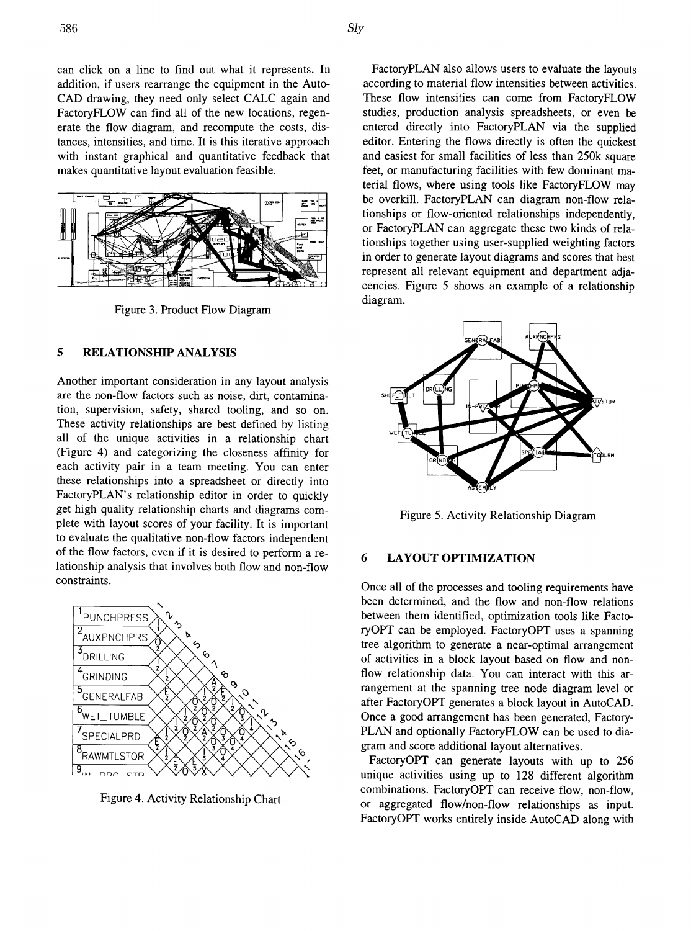can click on a line to find out what it represents. In addition, if users rearrange the equipment in the Auto-CAD drawing, they need only select CALC again and FactoryFLOW can find all of the new locations, regenerate the flow diagram, and recompute the costs, distances, intensities, and time. It is this iterative approach with instant graphical and quantitative feedback that makes quantitative layout evaluation feasible.



Figure 3. Product Flow Diagram

#### 5 RELATIONSHIP ANALYSIS

Another important consideration in any layout analysis are the non-flow factors such as noise, dirt, contamination, supervision, safety, shared tooling, and so on. These activity relationships are best defined by listing all of the unique activities in a relationship chart (Figure 4) and categorizing the closeness affinity for each activity pair in a team meeting. You can enter these relationships into a spreadsheet or directly into FactoryPLAN's relationship editor in order to quickly get high quality relationship charts and diagrams complete with layout scores of your facility. It is important to evaluate the qualitative non-flow factors independent of the flow factors, even if it is desired to perfonn a relationship analysis that involves both flow and non-flow constraints.



Figure 4. Activity Relationship Chart

FactoryPLAN also allows users to evaluate the layouts according to material flow intensities between activities. These flow intensities can come from FactoryFLOW studies, production analysis spreadsheets, or even be entered directly into FactoryPLAN via the supplied editor. Entering the flows directly is often the quickest and easiest for small facilities of less than 250k square feet, or manufacturing facilities with few dominant material flows, where using tools like FactoryFLOW may be overkill. FactoryPLAN can diagram non-flow relationships or flow-oriented relationships independently, or FactoryPLAN can aggregate these two kinds of relationships together using user-supplied weighting factors in order to generate layout diagrams and scores that best represent all relevant equipment and department adjacencies. Figure 5 shows an example of a relationship diagram.



Figure 5. Activity Relationship Diagram

## 6 LAYOUT OPTIMIZATION

Once all of the processes and tooling requirements have been determined, and the flow and non-flow relations between them identified, optimization tools like FactoryOPT can be employed. FactoryOPT uses a spanning tree algorithm to generate a near-optimal arrangement of activities in a block layout based on flow and nonflow relationship data. You can interact with this arrangement at the spanning tree node diagram level or after FactoryOPT generates a block layout in AutoCAD. Once a good arrangement has been generated, Factory-PLAN and optionally FactoryFLOW can be used to diagram and score additional layout alternatives.

FactoryOPT can generate layouts with up to 256 unique activities using up to 128 different algorithm combinations. FactoryOPT can receive flow, non-flow, or aggregated flow/non-flow relationships as input. FactoryOPT works entirely inside AutoCAD along with